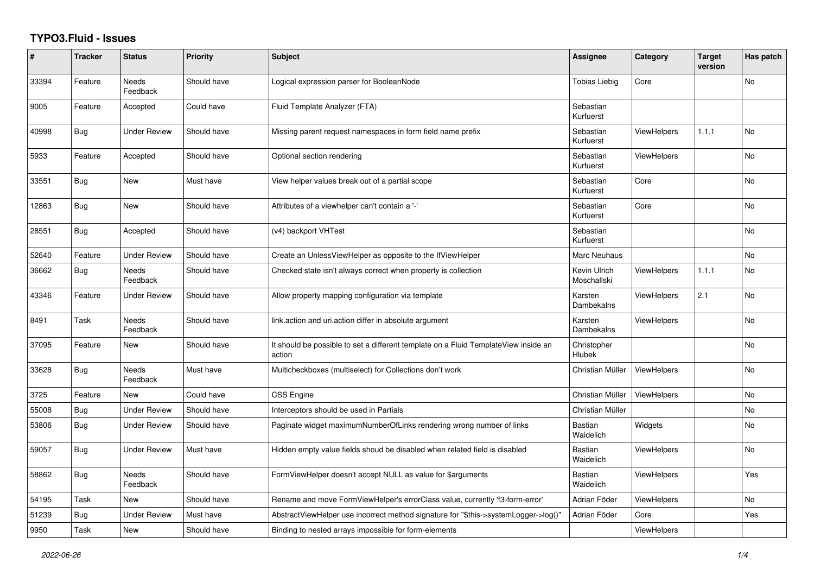## **TYPO3.Fluid - Issues**

| #     | <b>Tracker</b> | <b>Status</b>            | Priority    | Subject                                                                                       | Assignee                    | Category           | <b>Target</b><br>version | Has patch |
|-------|----------------|--------------------------|-------------|-----------------------------------------------------------------------------------------------|-----------------------------|--------------------|--------------------------|-----------|
| 33394 | Feature        | Needs<br>Feedback        | Should have | Logical expression parser for BooleanNode                                                     | <b>Tobias Liebig</b>        | Core               |                          | No        |
| 9005  | Feature        | Accepted                 | Could have  | Fluid Template Analyzer (FTA)                                                                 | Sebastian<br>Kurfuerst      |                    |                          |           |
| 40998 | <b>Bug</b>     | <b>Under Review</b>      | Should have | Missing parent request namespaces in form field name prefix                                   | Sebastian<br>Kurfuerst      | <b>ViewHelpers</b> | 1.1.1                    | <b>No</b> |
| 5933  | Feature        | Accepted                 | Should have | Optional section rendering                                                                    | Sebastian<br>Kurfuerst      | ViewHelpers        |                          | No        |
| 33551 | <b>Bug</b>     | New                      | Must have   | View helper values break out of a partial scope                                               | Sebastian<br>Kurfuerst      | Core               |                          | <b>No</b> |
| 12863 | Bug            | New                      | Should have | Attributes of a viewhelper can't contain a '-'                                                | Sebastian<br>Kurfuerst      | Core               |                          | <b>No</b> |
| 28551 | <b>Bug</b>     | Accepted                 | Should have | (v4) backport VHTest                                                                          | Sebastian<br>Kurfuerst      |                    |                          | <b>No</b> |
| 52640 | Feature        | <b>Under Review</b>      | Should have | Create an UnlessViewHelper as opposite to the IfViewHelper                                    | Marc Neuhaus                |                    |                          | No        |
| 36662 | Bug            | <b>Needs</b><br>Feedback | Should have | Checked state isn't always correct when property is collection                                | Kevin Ulrich<br>Moschallski | <b>ViewHelpers</b> | 1.1.1                    | <b>No</b> |
| 43346 | Feature        | Under Review             | Should have | Allow property mapping configuration via template                                             | Karsten<br>Dambekalns       | <b>ViewHelpers</b> | 2.1                      | No        |
| 8491  | Task           | Needs<br>Feedback        | Should have | link action and uri action differ in absolute argument                                        | Karsten<br>Dambekalns       | <b>ViewHelpers</b> |                          | No        |
| 37095 | Feature        | New                      | Should have | It should be possible to set a different template on a Fluid TemplateView inside an<br>action | Christopher<br>Hlubek       |                    |                          | <b>No</b> |
| 33628 | <b>Bug</b>     | Needs<br>Feedback        | Must have   | Multicheckboxes (multiselect) for Collections don't work                                      | Christian Müller            | <b>ViewHelpers</b> |                          | <b>No</b> |
| 3725  | Feature        | New                      | Could have  | <b>CSS Engine</b>                                                                             | Christian Müller            | <b>ViewHelpers</b> |                          | No        |
| 55008 | Bug            | <b>Under Review</b>      | Should have | Interceptors should be used in Partials                                                       | Christian Müller            |                    |                          | <b>No</b> |
| 53806 | <b>Bug</b>     | <b>Under Review</b>      | Should have | Paginate widget maximumNumberOfLinks rendering wrong number of links                          | <b>Bastian</b><br>Waidelich | Widgets            |                          | No        |
| 59057 | <b>Bug</b>     | <b>Under Review</b>      | Must have   | Hidden empty value fields shoud be disabled when related field is disabled                    | <b>Bastian</b><br>Waidelich | <b>ViewHelpers</b> |                          | No        |
| 58862 | <b>Bug</b>     | Needs<br>Feedback        | Should have | FormViewHelper doesn't accept NULL as value for \$arguments                                   | <b>Bastian</b><br>Waidelich | <b>ViewHelpers</b> |                          | Yes       |
| 54195 | Task           | New                      | Should have | Rename and move FormViewHelper's errorClass value, currently 'f3-form-error'                  | Adrian Föder                | ViewHelpers        |                          | <b>No</b> |
| 51239 | <b>Bug</b>     | <b>Under Review</b>      | Must have   | AbstractViewHelper use incorrect method signature for "\$this->systemLogger->log()"           | Adrian Föder                | Core               |                          | Yes       |
| 9950  | Task           | New                      | Should have | Binding to nested arrays impossible for form-elements                                         |                             | ViewHelpers        |                          |           |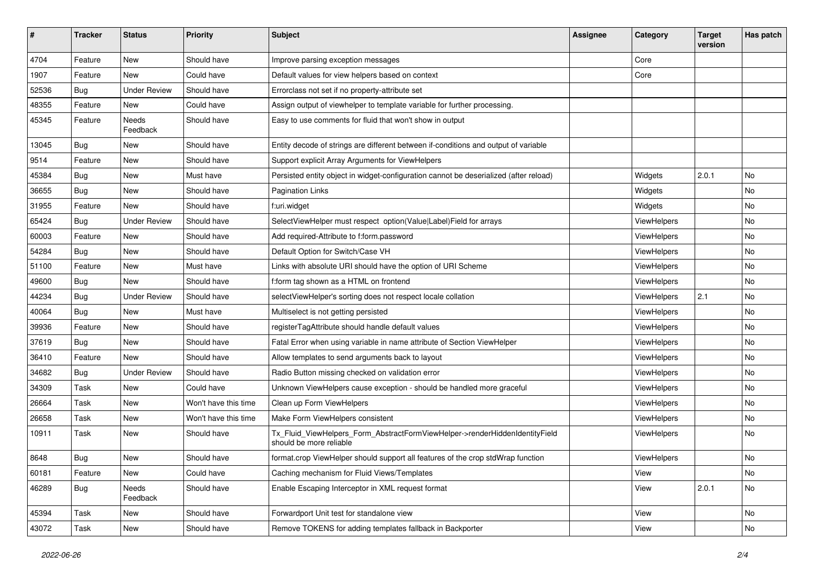| #     | <b>Tracker</b> | <b>Status</b>       | <b>Priority</b>      | Subject                                                                                                | <b>Assignee</b> | Category    | <b>Target</b><br>version | Has patch |
|-------|----------------|---------------------|----------------------|--------------------------------------------------------------------------------------------------------|-----------------|-------------|--------------------------|-----------|
| 4704  | Feature        | New                 | Should have          | Improve parsing exception messages                                                                     |                 | Core        |                          |           |
| 1907  | Feature        | New                 | Could have           | Default values for view helpers based on context                                                       |                 | Core        |                          |           |
| 52536 | Bug            | <b>Under Review</b> | Should have          | Errorclass not set if no property-attribute set                                                        |                 |             |                          |           |
| 48355 | Feature        | New                 | Could have           | Assign output of viewhelper to template variable for further processing.                               |                 |             |                          |           |
| 45345 | Feature        | Needs<br>Feedback   | Should have          | Easy to use comments for fluid that won't show in output                                               |                 |             |                          |           |
| 13045 | Bug            | New                 | Should have          | Entity decode of strings are different between if-conditions and output of variable                    |                 |             |                          |           |
| 9514  | Feature        | New                 | Should have          | Support explicit Array Arguments for ViewHelpers                                                       |                 |             |                          |           |
| 45384 | Bug            | New                 | Must have            | Persisted entity object in widget-configuration cannot be deserialized (after reload)                  |                 | Widgets     | 2.0.1                    | No        |
| 36655 | <b>Bug</b>     | New                 | Should have          | <b>Pagination Links</b>                                                                                |                 | Widgets     |                          | No        |
| 31955 | Feature        | New                 | Should have          | f:uri.widget                                                                                           |                 | Widgets     |                          | No        |
| 65424 | <b>Bug</b>     | <b>Under Review</b> | Should have          | SelectViewHelper must respect option(Value Label)Field for arrays                                      |                 | ViewHelpers |                          | No        |
| 60003 | Feature        | New                 | Should have          | Add required-Attribute to f:form.password                                                              |                 | ViewHelpers |                          | No        |
| 54284 | Bug            | New                 | Should have          | Default Option for Switch/Case VH                                                                      |                 | ViewHelpers |                          | No        |
| 51100 | Feature        | New                 | Must have            | Links with absolute URI should have the option of URI Scheme                                           |                 | ViewHelpers |                          | No        |
| 49600 | <b>Bug</b>     | New                 | Should have          | f:form tag shown as a HTML on frontend                                                                 |                 | ViewHelpers |                          | No        |
| 44234 | <b>Bug</b>     | <b>Under Review</b> | Should have          | selectViewHelper's sorting does not respect locale collation                                           |                 | ViewHelpers | 2.1                      | No        |
| 40064 | Bug            | New                 | Must have            | Multiselect is not getting persisted                                                                   |                 | ViewHelpers |                          | No        |
| 39936 | Feature        | <b>New</b>          | Should have          | registerTagAttribute should handle default values                                                      |                 | ViewHelpers |                          | No        |
| 37619 | Bug            | New                 | Should have          | Fatal Error when using variable in name attribute of Section ViewHelper                                |                 | ViewHelpers |                          | No        |
| 36410 | Feature        | New                 | Should have          | Allow templates to send arguments back to layout                                                       |                 | ViewHelpers |                          | No        |
| 34682 | Bug            | <b>Under Review</b> | Should have          | Radio Button missing checked on validation error                                                       |                 | ViewHelpers |                          | No        |
| 34309 | Task           | New                 | Could have           | Unknown ViewHelpers cause exception - should be handled more graceful                                  |                 | ViewHelpers |                          | No        |
| 26664 | Task           | New                 | Won't have this time | Clean up Form ViewHelpers                                                                              |                 | ViewHelpers |                          | No        |
| 26658 | Task           | New                 | Won't have this time | Make Form ViewHelpers consistent                                                                       |                 | ViewHelpers |                          | No        |
| 10911 | Task           | New                 | Should have          | Tx_Fluid_ViewHelpers_Form_AbstractFormViewHelper->renderHiddenIdentityField<br>should be more reliable |                 | ViewHelpers |                          | No        |
| 8648  | Bug            | New                 | Should have          | format.crop ViewHelper should support all features of the crop stdWrap function                        |                 | ViewHelpers |                          | No        |
| 60181 | Feature        | New                 | Could have           | Caching mechanism for Fluid Views/Templates                                                            |                 | View        |                          | No        |
| 46289 | Bug            | Needs<br>Feedback   | Should have          | Enable Escaping Interceptor in XML request format                                                      |                 | View        | 2.0.1                    | No        |
| 45394 | Task           | New                 | Should have          | Forwardport Unit test for standalone view                                                              |                 | View        |                          | No        |
| 43072 | Task           | New                 | Should have          | Remove TOKENS for adding templates fallback in Backporter                                              |                 | View        |                          | No        |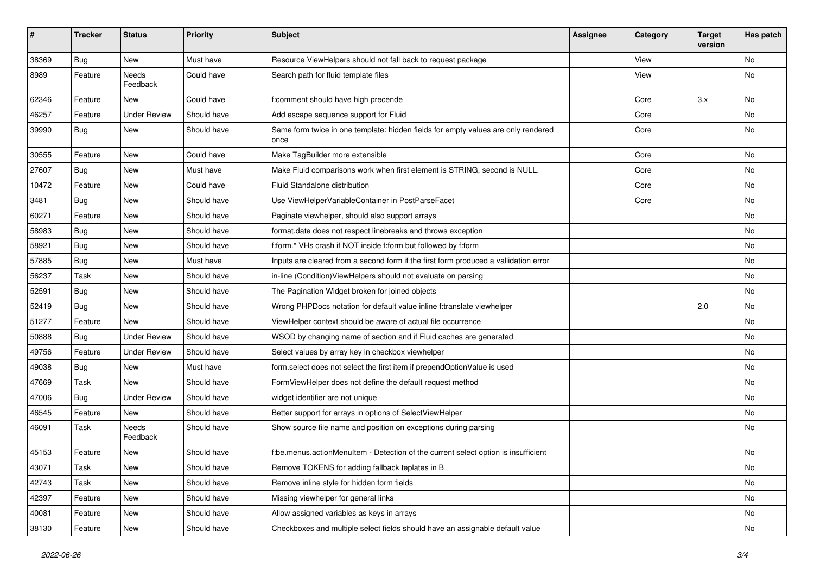| #     | <b>Tracker</b> | <b>Status</b>       | <b>Priority</b> | <b>Subject</b>                                                                            | Assignee | Category | <b>Target</b><br>version | Has patch |
|-------|----------------|---------------------|-----------------|-------------------------------------------------------------------------------------------|----------|----------|--------------------------|-----------|
| 38369 | Bug            | New                 | Must have       | Resource ViewHelpers should not fall back to request package                              |          | View     |                          | <b>No</b> |
| 8989  | Feature        | Needs<br>Feedback   | Could have      | Search path for fluid template files                                                      |          | View     |                          | No        |
| 62346 | Feature        | New                 | Could have      | f:comment should have high precende                                                       |          | Core     | 3.x                      | <b>No</b> |
| 46257 | Feature        | <b>Under Review</b> | Should have     | Add escape sequence support for Fluid                                                     |          | Core     |                          | No        |
| 39990 | Bug            | New                 | Should have     | Same form twice in one template: hidden fields for empty values are only rendered<br>once |          | Core     |                          | No        |
| 30555 | Feature        | New                 | Could have      | Make TagBuilder more extensible                                                           |          | Core     |                          | <b>No</b> |
| 27607 | Bug            | New                 | Must have       | Make Fluid comparisons work when first element is STRING, second is NULL.                 |          | Core     |                          | No        |
| 10472 | Feature        | New                 | Could have      | Fluid Standalone distribution                                                             |          | Core     |                          | No        |
| 3481  | Bug            | New                 | Should have     | Use ViewHelperVariableContainer in PostParseFacet                                         |          | Core     |                          | No        |
| 60271 | Feature        | New                 | Should have     | Paginate viewhelper, should also support arrays                                           |          |          |                          | No        |
| 58983 | Bug            | New                 | Should have     | format.date does not respect linebreaks and throws exception                              |          |          |                          | No        |
| 58921 | Bug            | New                 | Should have     | f:form.* VHs crash if NOT inside f:form but followed by f:form                            |          |          |                          | <b>No</b> |
| 57885 | Bug            | New                 | Must have       | Inputs are cleared from a second form if the first form produced a vallidation error      |          |          |                          | No        |
| 56237 | Task           | New                 | Should have     | in-line (Condition) ViewHelpers should not evaluate on parsing                            |          |          |                          | No        |
| 52591 | Bug            | New                 | Should have     | The Pagination Widget broken for joined objects                                           |          |          |                          | <b>No</b> |
| 52419 | Bug            | New                 | Should have     | Wrong PHPDocs notation for default value inline f:translate viewhelper                    |          |          | 2.0                      | No        |
| 51277 | Feature        | <b>New</b>          | Should have     | ViewHelper context should be aware of actual file occurrence                              |          |          |                          | <b>No</b> |
| 50888 | Bug            | <b>Under Review</b> | Should have     | WSOD by changing name of section and if Fluid caches are generated                        |          |          |                          | No        |
| 49756 | Feature        | <b>Under Review</b> | Should have     | Select values by array key in checkbox viewhelper                                         |          |          |                          | No        |
| 49038 | Bug            | New                 | Must have       | form.select does not select the first item if prependOptionValue is used                  |          |          |                          | No        |
| 47669 | Task           | New                 | Should have     | FormViewHelper does not define the default request method                                 |          |          |                          | No        |
| 47006 | Bug            | <b>Under Review</b> | Should have     | widget identifier are not unique                                                          |          |          |                          | No        |
| 46545 | Feature        | New                 | Should have     | Better support for arrays in options of SelectViewHelper                                  |          |          |                          | No        |
| 46091 | Task           | Needs<br>Feedback   | Should have     | Show source file name and position on exceptions during parsing                           |          |          |                          | <b>No</b> |
| 45153 | Feature        | New                 | Should have     | f:be.menus.actionMenuItem - Detection of the current select option is insufficient        |          |          |                          | No        |
| 43071 | Task           | New                 | Should have     | Remove TOKENS for adding fallback teplates in B                                           |          |          |                          | No        |
| 42743 | Task           | New                 | Should have     | Remove inline style for hidden form fields                                                |          |          |                          | No        |
| 42397 | Feature        | New                 | Should have     | Missing viewhelper for general links                                                      |          |          |                          | No        |
| 40081 | Feature        | New                 | Should have     | Allow assigned variables as keys in arrays                                                |          |          |                          | No        |
| 38130 | Feature        | New                 | Should have     | Checkboxes and multiple select fields should have an assignable default value             |          |          |                          | No        |